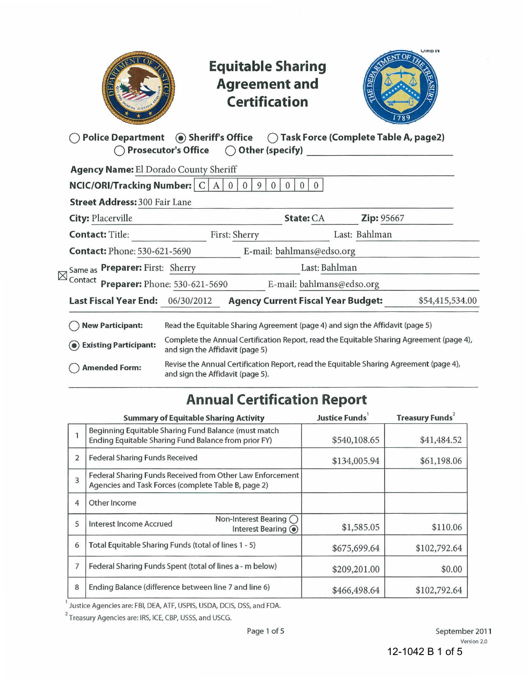|             |                                                                               |                                  | <b>Equitable Sharing</b><br><b>Agreement and</b><br><b>Certification</b> |                                  |                                                                                          | <b>UIVID IV</b> |
|-------------|-------------------------------------------------------------------------------|----------------------------------|--------------------------------------------------------------------------|----------------------------------|------------------------------------------------------------------------------------------|-----------------|
|             | Police Department (a) Sheriff's Office ( Task Force (Complete Table A, page2) | Prosecutor's Office              |                                                                          |                                  | $\bigcirc$ Other (specify)                                                               |                 |
|             | Agency Name: El Dorado County Sheriff                                         |                                  |                                                                          |                                  |                                                                                          |                 |
|             | NCIC/ORI/Tracking Number: $ C A $                                             |                                  | 0<br>$\overline{0}$<br>9<br>$\Omega$                                     | $\overline{0}$<br>$\overline{0}$ |                                                                                          |                 |
|             | <b>Street Address: 300 Fair Lane</b>                                          |                                  |                                                                          |                                  |                                                                                          |                 |
|             | <b>City: Placerville</b>                                                      |                                  |                                                                          | State: CA                        | Zip: 95667                                                                               |                 |
|             | <b>Contact: Title:</b>                                                        |                                  | First: Sherry                                                            |                                  | Last: Bahlman                                                                            |                 |
|             | <b>Contact: Phone: 530-621-5690</b>                                           |                                  |                                                                          | E-mail: bahlmans@edso.org        |                                                                                          |                 |
| $\boxtimes$ | Same as Preparer: First: Sherry                                               |                                  |                                                                          | Last: Bahlman                    |                                                                                          |                 |
|             | Contact Preparer: Phone: 530-621-5690                                         |                                  |                                                                          | E-mail: bahlmans@edso.org        |                                                                                          |                 |
|             | Last Fiscal Year End: 06/30/2012                                              |                                  | <b>Agency Current Fiscal Year Budget:</b>                                |                                  |                                                                                          | \$54,415,534.00 |
|             | <b>New Participant:</b>                                                       |                                  |                                                                          |                                  | Read the Equitable Sharing Agreement (page 4) and sign the Affidavit (page 5)            |                 |
|             | <b>Existing Participant:</b>                                                  | and sign the Affidavit (page 5)  |                                                                          |                                  | Complete the Annual Certification Report, read the Equitable Sharing Agreement (page 4), |                 |
|             | <b>Amended Form:</b>                                                          | and sign the Affidavit (page 5). |                                                                          |                                  | Revise the Annual Certification Report, read the Equitable Sharing Agreement (page 4),   |                 |
|             |                                                                               |                                  |                                                                          |                                  |                                                                                          |                 |

# **Annual Certification Report**

| <b>Summary of Equitable Sharing Activity</b>                                                                     | Justice Funds | <b>Treasury Funds<sup>2</sup></b> |  |  |
|------------------------------------------------------------------------------------------------------------------|---------------|-----------------------------------|--|--|
| Beginning Equitable Sharing Fund Balance (must match<br>Ending Equitable Sharing Fund Balance from prior FY)     | \$540,108.65  | \$41,484.52                       |  |  |
| <b>Federal Sharing Funds Received</b>                                                                            | \$134,005.94  | \$61,198.06                       |  |  |
| Federal Sharing Funds Received from Other Law Enforcement<br>Agencies and Task Forces (complete Table B, page 2) |               |                                   |  |  |
| Other Income                                                                                                     |               |                                   |  |  |
| Non-Interest Bearing $()$<br>Interest Income Accrued<br>Interest Bearing (a)                                     | \$1,585.05    | \$110.06                          |  |  |
| Total Equitable Sharing Funds (total of lines 1 - 5)                                                             | \$675,699.64  | \$102,792.64                      |  |  |
| Federal Sharing Funds Spent (total of lines a - m below)                                                         | \$209,201.00  | \$0.00                            |  |  |
| Ending Balance (difference between line 7 and line 6)                                                            | \$466,498.64  | \$102,792.64                      |  |  |
|                                                                                                                  |               |                                   |  |  |

<sup>1</sup> Justice Agencies are: FBI, DEA, ATF, USPIS, USDA, DCIS, DSS, and FDA.

<sup>2</sup> Treasury Agencies are: IRS, ICE, CBP, USSS, and USCG.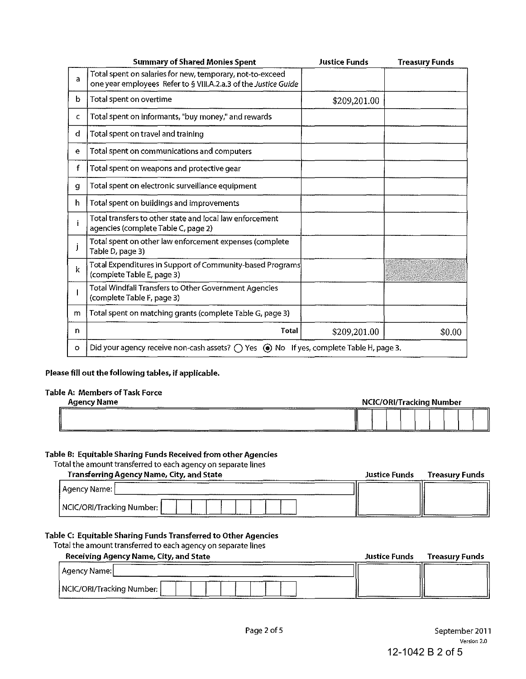|         | <b>Summary of Shared Monies Spent</b>                                                                                        | <b>Justice Funds</b> | <b>Treasury Funds</b> |
|---------|------------------------------------------------------------------------------------------------------------------------------|----------------------|-----------------------|
| a       | Total spent on salaries for new, temporary, not-to-exceed<br>one year employees Refer to § VIII.A.2.a.3 of the Justice Guide |                      |                       |
| b       | Total spent on overtime                                                                                                      | \$209,201.00         |                       |
| C.      | Total spent on informants, "buy money," and rewards                                                                          |                      |                       |
| d       | Total spent on travel and training                                                                                           |                      |                       |
| e       | Total spent on communications and computers                                                                                  |                      |                       |
| f       | Total spent on weapons and protective gear                                                                                   |                      |                       |
| g       | Total spent on electronic surveillance equipment                                                                             |                      |                       |
| h.      | Total spent on buildings and improvements                                                                                    |                      |                       |
|         | Total transfers to other state and local law enforcement<br>agencies (complete Table C, page 2)                              |                      |                       |
|         | Total spent on other law enforcement expenses (complete<br>Table D. page 3)                                                  |                      |                       |
| k       | Total Expenditures in Support of Community-based Programs<br>(complete Table E, page 3)                                      |                      |                       |
|         | Total Windfall Transfers to Other Government Agencies<br>(complete Table F, page 3)                                          |                      |                       |
| m       | Total spent on matching grants (complete Table G, page 3)                                                                    |                      |                       |
| n.      | <b>Total</b>                                                                                                                 | \$209,201.00         | \$0.00                |
| $\circ$ | Did your agency receive non-cash assets? $\bigcirc$ Yes $\bullet$ No If yes, complete Table H, page 3.                       |                      |                       |

### Please fill out the following tables, if applicable.

#### Table A: Members of Task Force

| Agency Name | <b>NCIC/ORI/Tracking Number</b> |  |  |  |
|-------------|---------------------------------|--|--|--|
|             | _______<br>U                    |  |  |  |
| -----       |                                 |  |  |  |

### Table B: Equitable Sharing Funds Received from other Agencies

#### Total the amount transferred to each agency on separate lines

| Transferring Agency Name, City, and State | <b>Justice Funds</b> | <b>Treasury Funds</b> |
|-------------------------------------------|----------------------|-----------------------|
| Agency Name:                              |                      |                       |
| NCIC/ORI/Tracking Number;                 |                      |                       |

#### Table C: Equitable Sharing Funds Transferred to Other Agencies

Total the amount transferred to each agency on separate lines

| Receiving Agency Name, City, and State | <b>Justice Funds</b> | <b>Treasury Funds</b> |
|----------------------------------------|----------------------|-----------------------|
| Agency Name:                           |                      |                       |
| NCIC/ORI/Tracking Number:              |                      |                       |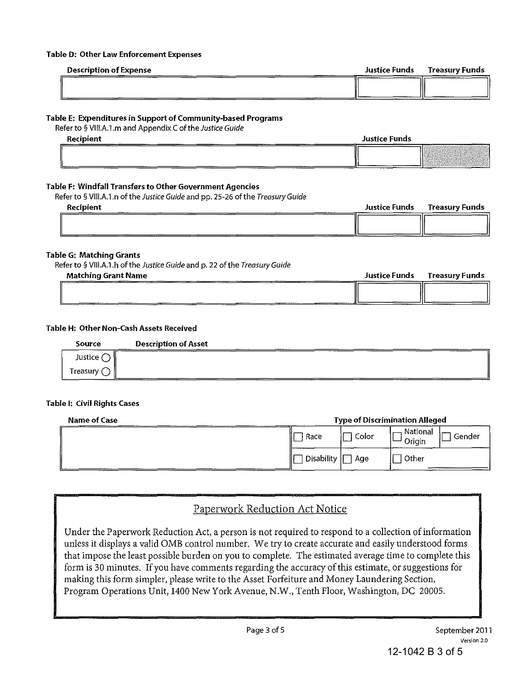#### Table D: Other Law Enforcement Expenses

| <b>Description of Expense</b> | Justice Funds | Treasurv Funds |
|-------------------------------|---------------|----------------|
|                               |               |                |
|                               |               |                |

#### Table E: Expenditures in Support of Community-based Programs

Refer to § VIII.A.1.m and Appendix C of the Justice Guide

| Recipient |  | <b>Justice Funds</b> |  |  |
|-----------|--|----------------------|--|--|
|           |  |                      |  |  |

#### Table F: Windfall Transfers to Other Government Agencies

Refer to § VIII.A.1.n of the Justice Guide and pp. 25-26 of the Treasury Guide

| Recipient | Justice Funds | Treasury Funds |
|-----------|---------------|----------------|
|           |               |                |
|           |               |                |

#### Table G: Matching Grants

Refer to § VIII.A.1.h of the Justice Guide and p. 22 of the Treasury Guide

| <b>Matching Grant Name</b> | Justice Funds | Treasury Funds |
|----------------------------|---------------|----------------|
|                            |               |                |
| <b>CONTRACTOR</b>          |               |                |

#### Table H: Other Non-Cash Assets Received

| Source             | <b>Description of Asset</b> |  |
|--------------------|-----------------------------|--|
| Justice (          |                             |  |
| Treasury $\subset$ | ---                         |  |

#### Table I: Civil Rights Cases

| Name of Case | <b>Type of Discrimination Alleged</b> |       |                              |
|--------------|---------------------------------------|-------|------------------------------|
|              | Race                                  | Color | National<br>Gender<br>Origin |
|              | <b>Disability</b>                     | Age   | Other                        |

## Paperwork Reduction Act Notice

Under the Paperwork Reduction Act, a person is not required to respond to a collection of information unless it displays a valid OMB control number. We try to create accurate and easily understood forms that impose the least possible burden on you to complete. The estimated average time to complete this form is 30 minutes. If you have comments regarding the accuracy of this estimate, or suggestions for making this form simpler, please write to the Asset Forfeiture and Money Laundering Section, Program Operations Unit, 1400 New York Avenue, N.W., Tenth Floor, Washington, DC 20005.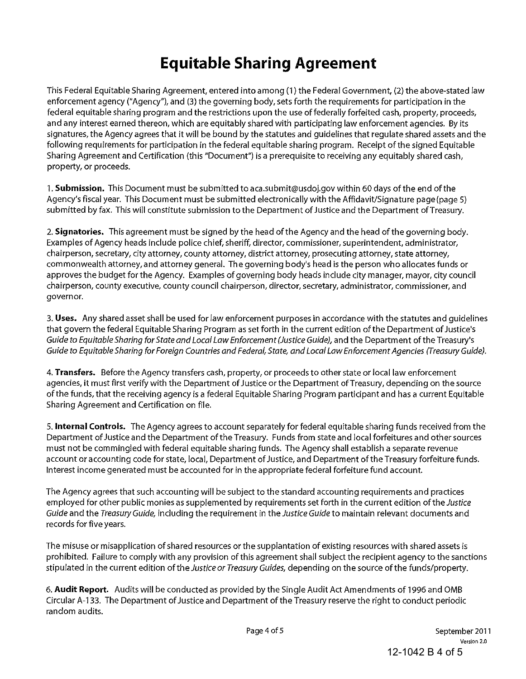# **Equitable Sharing Agreement**

This Federal Equitable Sharing Agreement, entered into among (1) the Federal Government, (2) the above-stated law enforcement agency ("Agency"), and (3) the governing body, sets forth the requirements for participation in the federal equitable sharing program and the restrictions upon the use of federally forfeited cash, property, proceeds, and any interest earned thereon, which are equitably shared with participating law enforcement agencies. By its signatures, the Agency agrees that it will be bound by the statutes and guidelines that regulate shared assets and the following requirements for participation in the federal equitable sharing program. Receipt of the signed Equitable Sharing Agreement and Certification (this "Document") is a prerequisite to receiving any equitably shared cash, property, or proceeds.

1. **Submission.** This Document must be submitted to aca.submit@usdoj.gov within 60 days of the end of the Agency's fiscal year. This Document must be submitted electronically with the Affidavit/Signature page (page 5) submitted by fax. This will constitute submission to the Department of Justice and the Department of Treasury.

2. **Signatories.** This agreement must be signed by the head of the Agency and the head of the governing body. Examples of Agency heads include police chief, sheriff, director, commissioner, superintendent, administrator, chairperson, secretary, city attorney, county attorney, district attorney, prosecuting attorney, state attorney, commonwealth attorney,and attorney general. The governing body's head is the person who allocates funds or approves the budget for the Agency. Examples of governing body heads include city manager, mayor, city council chairperson, county executive, county council chairperson, director, secretary, administrator, commissioner, and governor.

3. **Uses.** Any shared asset shall be used for law enforcement purposes in accordance with the statutes and guidelines that govern the federal Equitable Sharing Program as set forth in the current edition of the Department of Justice's Guide to Equitable Sharing for State and Local Law Enforcement (Justice Guide), and the Department of the Treasury's Guide to Equitable Sharing for Foreign Countries and Federal, State, and Local Law Enforcement Agencies (Treasury Guide).

4. **Transfers.** Before the Agency transfers cash, property, or proceeds to other state or local law enforcement agencies, it must first verify with the Department of Justice or the Department of Treasury, depending on the source of the funds, that the receiving agency is a federal Equitable Sharing Program participant and has a current Equitable Sharing Agreement and Certification on file.

5. **Internal Controls.** The Agency agrees to account separately for federal equitable sharing funds received from the Department of Justice and the Department of the Treasury. Funds from state and local forfeitures and other sources must not be commingled with federal equitable sharing funds. The Agency shall establish a separate revenue account or accounting code for state, local, Department of Justice, and Department of the Treasury forfeiture funds. Interest income generated must be accounted for in the appropriate federal forfeiture fund account.

The Agency agrees that such accounting will be subject to the standard accounting requirements and practices employed for other public monies as supplemented by requirements set forth in the current edition of the Justice Guide and the Treasury Guide, including the requirement in the Justice Guide to maintain relevant documents and records for five years.

The misuse or misapplication of shared resources or the supplantation of existing resources with shared assets is prohibited. Failure to comply with any provision of this agreement shall subject the recipient agency to the sanctions stipulated in the current edition of the Justice or Treasury Guides, depending on the source of the funds/property.

6. **Audit Report.** Audits will be conducted as provided by the Single Audit Act Amendments of 1996 and OMB Circular A-133. The Department of Justice and Department of the Treasury reserve the right to conduct periodic random audits.